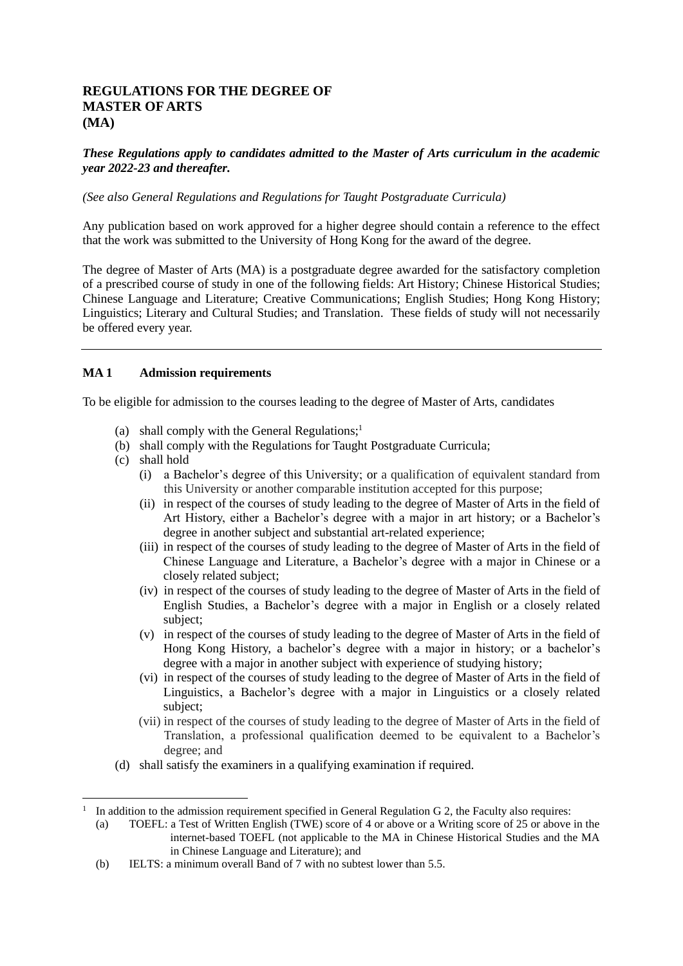# **REGULATIONS FOR THE DEGREE OF MASTER OF ARTS (MA)**

# *These Regulations apply to candidates admitted to the Master of Arts curriculum in the academic year 2022-23 and thereafter.*

## *(See also General Regulations and Regulations for Taught Postgraduate Curricula)*

Any publication based on work approved for a higher degree should contain a reference to the effect that the work was submitted to the University of Hong Kong for the award of the degree.

The degree of Master of Arts (MA) is a postgraduate degree awarded for the satisfactory completion of a prescribed course of study in one of the following fields: Art History; Chinese Historical Studies; Chinese Language and Literature; Creative Communications; English Studies; Hong Kong History; Linguistics; Literary and Cultural Studies; and Translation. These fields of study will not necessarily be offered every year.

# **MA 1 Admission requirements**

To be eligible for admission to the courses leading to the degree of Master of Arts, candidates

- (a) shall comply with the General Regulations;<sup>1</sup>
- (b) shall comply with the Regulations for Taught Postgraduate Curricula;
- (c) shall hold
	- (i) a Bachelor's degree of this University; or a qualification of equivalent standard from this University or another comparable institution accepted for this purpose;
	- (ii) in respect of the courses of study leading to the degree of Master of Arts in the field of Art History, either a Bachelor's degree with a major in art history; or a Bachelor's degree in another subject and substantial art-related experience;
	- (iii) in respect of the courses of study leading to the degree of Master of Arts in the field of Chinese Language and Literature, a Bachelor's degree with a major in Chinese or a closely related subject;
	- (iv) in respect of the courses of study leading to the degree of Master of Arts in the field of English Studies, a Bachelor's degree with a major in English or a closely related subject;
	- (v) in respect of the courses of study leading to the degree of Master of Arts in the field of Hong Kong History, a bachelor's degree with a major in history; or a bachelor's degree with a major in another subject with experience of studying history;
	- (vi) in respect of the courses of study leading to the degree of Master of Arts in the field of Linguistics, a Bachelor's degree with a major in Linguistics or a closely related subject;
	- (vii) in respect of the courses of study leading to the degree of Master of Arts in the field of Translation, a professional qualification deemed to be equivalent to a Bachelor's degree; and
- (d) shall satisfy the examiners in a qualifying examination if required.

<sup>1</sup> In addition to the admission requirement specified in General Regulation G 2, the Faculty also requires:

<sup>(</sup>a) TOEFL: a Test of Written English (TWE) score of 4 or above or a Writing score of 25 or above in the internet-based TOEFL (not applicable to the MA in Chinese Historical Studies and the MA in Chinese Language and Literature); and

<sup>(</sup>b) IELTS: a minimum overall Band of 7 with no subtest lower than 5.5.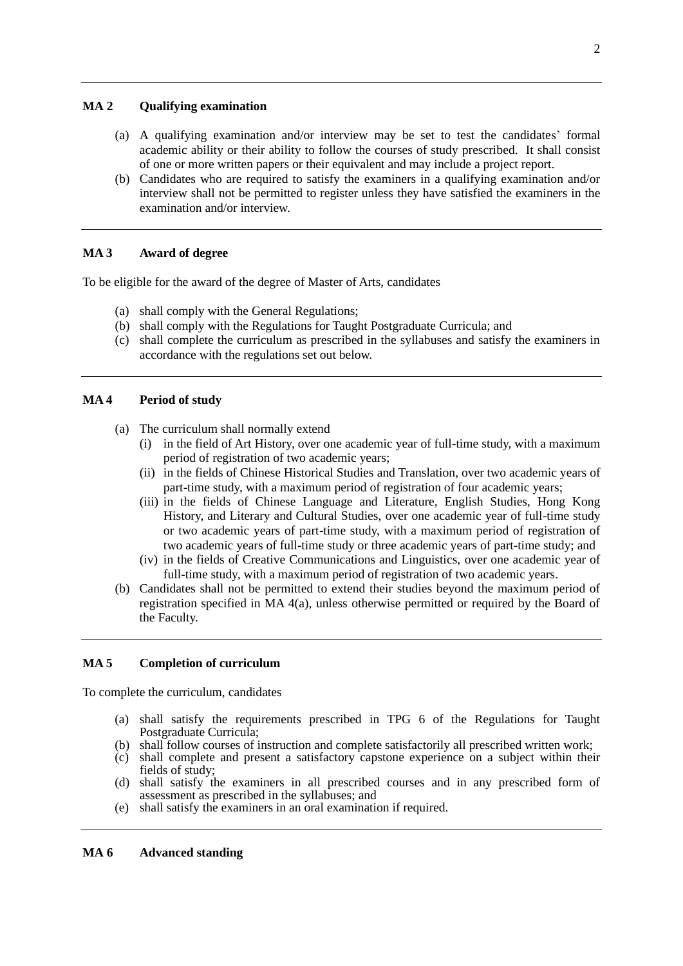# **MA 2 Qualifying examination**

- (a) A qualifying examination and/or interview may be set to test the candidates' formal academic ability or their ability to follow the courses of study prescribed. It shall consist of one or more written papers or their equivalent and may include a project report.
- (b) Candidates who are required to satisfy the examiners in a qualifying examination and/or interview shall not be permitted to register unless they have satisfied the examiners in the examination and/or interview.

# **MA 3 Award of degree**

To be eligible for the award of the degree of Master of Arts, candidates

- (a) shall comply with the General Regulations;
- (b) shall comply with the Regulations for Taught Postgraduate Curricula; and
- (c) shall complete the curriculum as prescribed in the syllabuses and satisfy the examiners in accordance with the regulations set out below.

# **MA 4 Period of study**

- (a) The curriculum shall normally extend
	- (i) in the field of Art History, over one academic year of full-time study, with a maximum period of registration of two academic years;
	- (ii) in the fields of Chinese Historical Studies and Translation, over two academic years of part-time study, with a maximum period of registration of four academic years;
	- (iii) in the fields of Chinese Language and Literature, English Studies, Hong Kong History, and Literary and Cultural Studies, over one academic year of full-time study or two academic years of part-time study, with a maximum period of registration of two academic years of full-time study or three academic years of part-time study; and
	- (iv) in the fields of Creative Communications and Linguistics, over one academic year of full-time study, with a maximum period of registration of two academic years.
- (b) Candidates shall not be permitted to extend their studies beyond the maximum period of registration specified in MA 4(a), unless otherwise permitted or required by the Board of the Faculty.

# **MA 5 Completion of curriculum**

To complete the curriculum, candidates

- (a) shall satisfy the requirements prescribed in TPG 6 of the Regulations for Taught Postgraduate Curricula;
- (b) shall follow courses of instruction and complete satisfactorily all prescribed written work;
- (c) shall complete and present a satisfactory capstone experience on a subject within their fields of study;
- (d) shall satisfy the examiners in all prescribed courses and in any prescribed form of assessment as prescribed in the syllabuses; and
- (e) shall satisfy the examiners in an oral examination if required.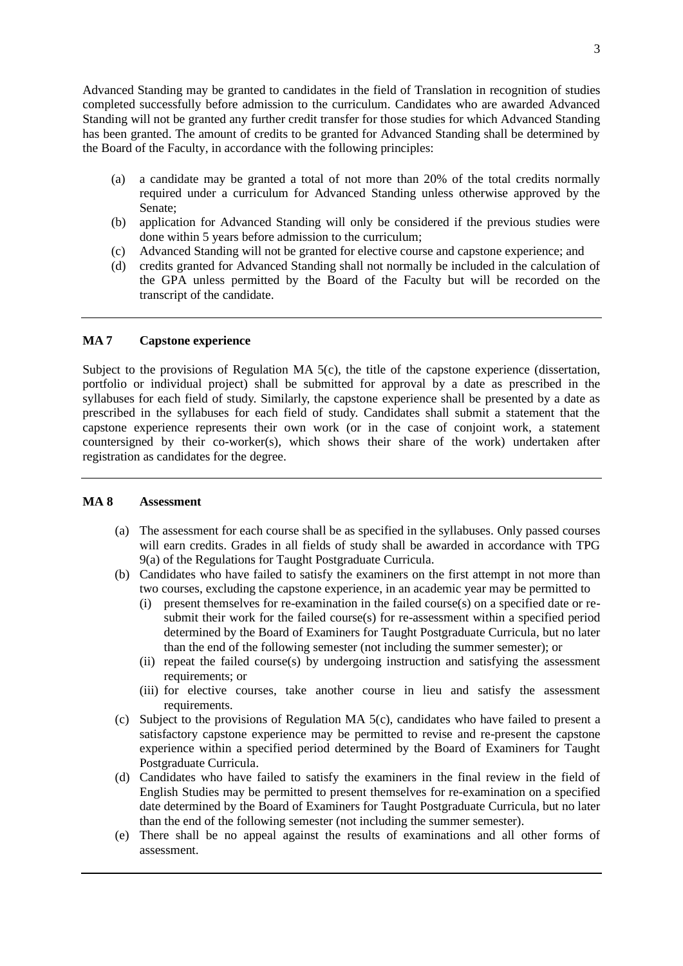Advanced Standing may be granted to candidates in the field of Translation in recognition of studies completed successfully before admission to the curriculum. Candidates who are awarded Advanced Standing will not be granted any further credit transfer for those studies for which Advanced Standing has been granted. The amount of credits to be granted for Advanced Standing shall be determined by the Board of the Faculty, in accordance with the following principles:

- (a) a candidate may be granted a total of not more than 20% of the total credits normally required under a curriculum for Advanced Standing unless otherwise approved by the Senate;
- (b) application for Advanced Standing will only be considered if the previous studies were done within 5 years before admission to the curriculum;
- (c) Advanced Standing will not be granted for elective course and capstone experience; and
- (d) credits granted for Advanced Standing shall not normally be included in the calculation of the GPA unless permitted by the Board of the Faculty but will be recorded on the transcript of the candidate.

### **MA 7 Capstone experience**

Subject to the provisions of Regulation MA 5(c), the title of the capstone experience (dissertation, portfolio or individual project) shall be submitted for approval by a date as prescribed in the syllabuses for each field of study. Similarly, the capstone experience shall be presented by a date as prescribed in the syllabuses for each field of study. Candidates shall submit a statement that the capstone experience represents their own work (or in the case of conjoint work, a statement countersigned by their co-worker(s), which shows their share of the work) undertaken after registration as candidates for the degree.

#### **MA 8 Assessment**

- (a) The assessment for each course shall be as specified in the syllabuses. Only passed courses will earn credits. Grades in all fields of study shall be awarded in accordance with TPG 9(a) of the Regulations for Taught Postgraduate Curricula.
- (b) Candidates who have failed to satisfy the examiners on the first attempt in not more than two courses, excluding the capstone experience, in an academic year may be permitted to
	- (i) present themselves for re-examination in the failed course(s) on a specified date or resubmit their work for the failed course(s) for re-assessment within a specified period determined by the Board of Examiners for Taught Postgraduate Curricula, but no later than the end of the following semester (not including the summer semester); or
	- (ii) repeat the failed course(s) by undergoing instruction and satisfying the assessment requirements; or
	- (iii) for elective courses, take another course in lieu and satisfy the assessment requirements.
- (c) Subject to the provisions of Regulation MA 5(c), candidates who have failed to present a satisfactory capstone experience may be permitted to revise and re-present the capstone experience within a specified period determined by the Board of Examiners for Taught Postgraduate Curricula.
- (d) Candidates who have failed to satisfy the examiners in the final review in the field of English Studies may be permitted to present themselves for re-examination on a specified date determined by the Board of Examiners for Taught Postgraduate Curricula, but no later than the end of the following semester (not including the summer semester).
- (e) There shall be no appeal against the results of examinations and all other forms of assessment.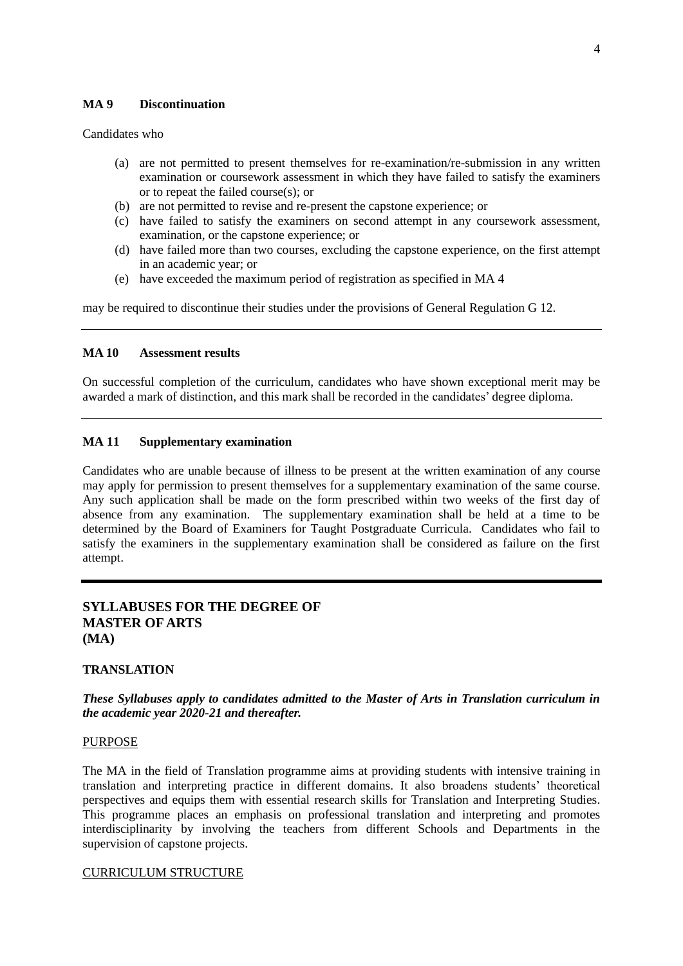## **MA 9 Discontinuation**

Candidates who

- (a) are not permitted to present themselves for re-examination/re-submission in any written examination or coursework assessment in which they have failed to satisfy the examiners or to repeat the failed course(s); or
- (b) are not permitted to revise and re-present the capstone experience; or
- (c) have failed to satisfy the examiners on second attempt in any coursework assessment, examination, or the capstone experience; or
- (d) have failed more than two courses, excluding the capstone experience, on the first attempt in an academic year; or
- (e) have exceeded the maximum period of registration as specified in MA 4

may be required to discontinue their studies under the provisions of General Regulation G 12.

## **MA 10 Assessment results**

On successful completion of the curriculum, candidates who have shown exceptional merit may be awarded a mark of distinction, and this mark shall be recorded in the candidates' degree diploma.

## **MA 11 Supplementary examination**

Candidates who are unable because of illness to be present at the written examination of any course may apply for permission to present themselves for a supplementary examination of the same course. Any such application shall be made on the form prescribed within two weeks of the first day of absence from any examination. The supplementary examination shall be held at a time to be determined by the Board of Examiners for Taught Postgraduate Curricula. Candidates who fail to satisfy the examiners in the supplementary examination shall be considered as failure on the first attempt.

# **SYLLABUSES FOR THE DEGREE OF MASTER OF ARTS (MA)**

## **TRANSLATION**

# *These Syllabuses apply to candidates admitted to the Master of Arts in Translation curriculum in the academic year 2020-21 and thereafter.*

## **PURPOSE**

The MA in the field of Translation programme aims at providing students with intensive training in translation and interpreting practice in different domains. It also broadens students' theoretical perspectives and equips them with essential research skills for Translation and Interpreting Studies. This programme places an emphasis on professional translation and interpreting and promotes interdisciplinarity by involving the teachers from different Schools and Departments in the supervision of capstone projects.

## CURRICULUM STRUCTURE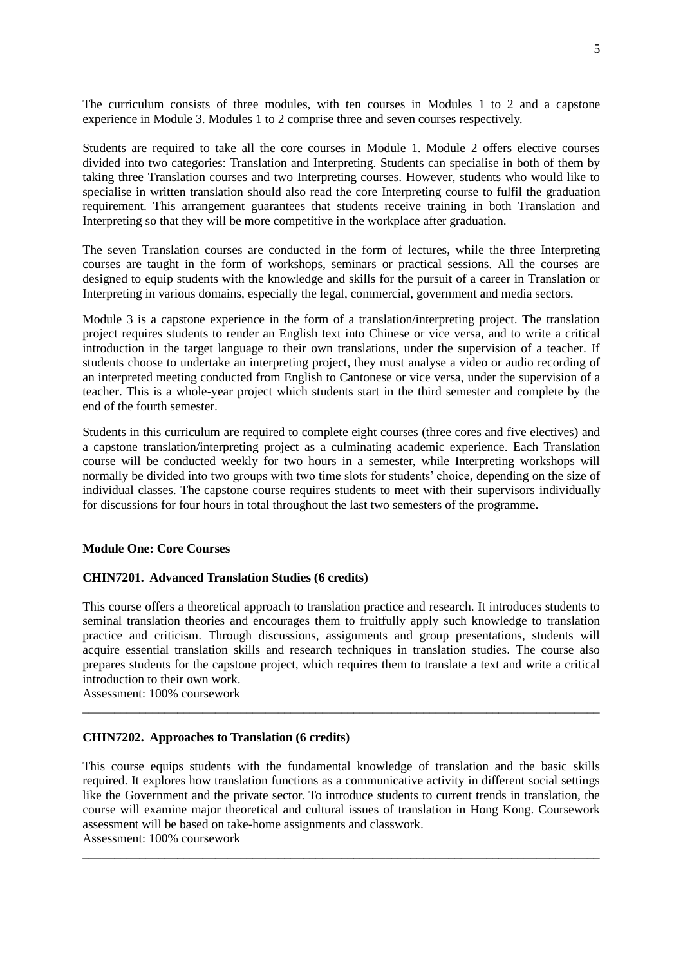The curriculum consists of three modules, with ten courses in Modules 1 to 2 and a capstone experience in Module 3. Modules 1 to 2 comprise three and seven courses respectively.

Students are required to take all the core courses in Module 1. Module 2 offers elective courses divided into two categories: Translation and Interpreting. Students can specialise in both of them by taking three Translation courses and two Interpreting courses. However, students who would like to specialise in written translation should also read the core Interpreting course to fulfil the graduation requirement. This arrangement guarantees that students receive training in both Translation and Interpreting so that they will be more competitive in the workplace after graduation.

The seven Translation courses are conducted in the form of lectures, while the three Interpreting courses are taught in the form of workshops, seminars or practical sessions. All the courses are designed to equip students with the knowledge and skills for the pursuit of a career in Translation or Interpreting in various domains, especially the legal, commercial, government and media sectors.

Module 3 is a capstone experience in the form of a translation/interpreting project. The translation project requires students to render an English text into Chinese or vice versa, and to write a critical introduction in the target language to their own translations, under the supervision of a teacher. If students choose to undertake an interpreting project, they must analyse a video or audio recording of an interpreted meeting conducted from English to Cantonese or vice versa, under the supervision of a teacher. This is a whole-year project which students start in the third semester and complete by the end of the fourth semester.

Students in this curriculum are required to complete eight courses (three cores and five electives) and a capstone translation/interpreting project as a culminating academic experience. Each Translation course will be conducted weekly for two hours in a semester, while Interpreting workshops will normally be divided into two groups with two time slots for students' choice, depending on the size of individual classes. The capstone course requires students to meet with their supervisors individually for discussions for four hours in total throughout the last two semesters of the programme.

## **Module One: Core Courses**

## **CHIN7201. Advanced Translation Studies (6 credits)**

This course offers a theoretical approach to translation practice and research. It introduces students to seminal translation theories and encourages them to fruitfully apply such knowledge to translation practice and criticism. Through discussions, assignments and group presentations, students will acquire essential translation skills and research techniques in translation studies. The course also prepares students for the capstone project, which requires them to translate a text and write a critical introduction to their own work.

\_\_\_\_\_\_\_\_\_\_\_\_\_\_\_\_\_\_\_\_\_\_\_\_\_\_\_\_\_\_\_\_\_\_\_\_\_\_\_\_\_\_\_\_\_\_\_\_\_\_\_\_\_\_\_\_\_\_\_\_\_\_\_\_\_\_\_\_\_\_\_\_\_\_\_\_\_\_\_\_\_\_

Assessment: 100% coursework

## **CHIN7202. Approaches to Translation (6 credits)**

This course equips students with the fundamental knowledge of translation and the basic skills required. It explores how translation functions as a communicative activity in different social settings like the Government and the private sector. To introduce students to current trends in translation, the course will examine major theoretical and cultural issues of translation in Hong Kong. Coursework assessment will be based on take-home assignments and classwork. Assessment: 100% coursework

\_\_\_\_\_\_\_\_\_\_\_\_\_\_\_\_\_\_\_\_\_\_\_\_\_\_\_\_\_\_\_\_\_\_\_\_\_\_\_\_\_\_\_\_\_\_\_\_\_\_\_\_\_\_\_\_\_\_\_\_\_\_\_\_\_\_\_\_\_\_\_\_\_\_\_\_\_\_\_\_\_\_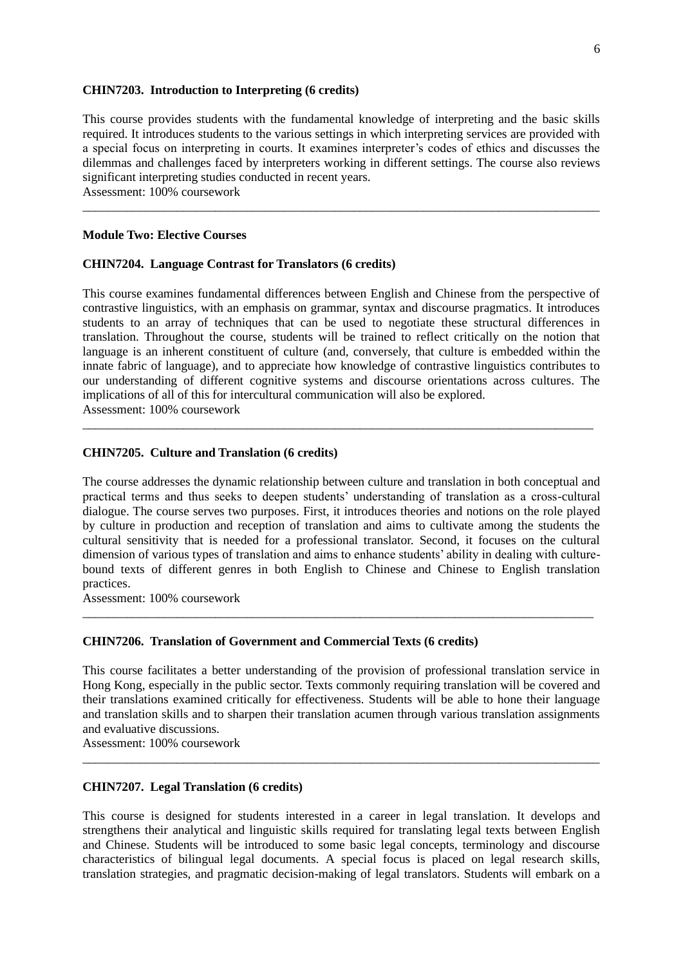#### **CHIN7203. Introduction to Interpreting (6 credits)**

This course provides students with the fundamental knowledge of interpreting and the basic skills required. It introduces students to the various settings in which interpreting services are provided with a special focus on interpreting in courts. It examines interpreter's codes of ethics and discusses the dilemmas and challenges faced by interpreters working in different settings. The course also reviews significant interpreting studies conducted in recent years.

\_\_\_\_\_\_\_\_\_\_\_\_\_\_\_\_\_\_\_\_\_\_\_\_\_\_\_\_\_\_\_\_\_\_\_\_\_\_\_\_\_\_\_\_\_\_\_\_\_\_\_\_\_\_\_\_\_\_\_\_\_\_\_\_\_\_\_\_\_\_\_\_\_\_\_\_\_\_\_\_\_\_

Assessment: 100% coursework

#### **Module Two: Elective Courses**

#### **CHIN7204. Language Contrast for Translators (6 credits)**

This course examines fundamental differences between English and Chinese from the perspective of contrastive linguistics, with an emphasis on grammar, syntax and discourse pragmatics. It introduces students to an array of techniques that can be used to negotiate these structural differences in translation. Throughout the course, students will be trained to reflect critically on the notion that language is an inherent constituent of culture (and, conversely, that culture is embedded within the innate fabric of language), and to appreciate how knowledge of contrastive linguistics contributes to our understanding of different cognitive systems and discourse orientations across cultures. The implications of all of this for intercultural communication will also be explored. Assessment: 100% coursework

\_\_\_\_\_\_\_\_\_\_\_\_\_\_\_\_\_\_\_\_\_\_\_\_\_\_\_\_\_\_\_\_\_\_\_\_\_\_\_\_\_\_\_\_\_\_\_\_\_\_\_\_\_\_\_\_\_\_\_\_\_\_\_\_\_\_\_\_\_\_\_\_\_\_\_\_\_\_\_\_\_

#### **CHIN7205. Culture and Translation (6 credits)**

The course addresses the dynamic relationship between culture and translation in both conceptual and practical terms and thus seeks to deepen students' understanding of translation as a cross-cultural dialogue. The course serves two purposes. First, it introduces theories and notions on the role played by culture in production and reception of translation and aims to cultivate among the students the cultural sensitivity that is needed for a professional translator. Second, it focuses on the cultural dimension of various types of translation and aims to enhance students' ability in dealing with culturebound texts of different genres in both English to Chinese and Chinese to English translation practices.

\_\_\_\_\_\_\_\_\_\_\_\_\_\_\_\_\_\_\_\_\_\_\_\_\_\_\_\_\_\_\_\_\_\_\_\_\_\_\_\_\_\_\_\_\_\_\_\_\_\_\_\_\_\_\_\_\_\_\_\_\_\_\_\_\_\_\_\_\_\_\_\_\_\_\_\_\_\_\_\_\_

Assessment: 100% coursework

#### **CHIN7206. Translation of Government and Commercial Texts (6 credits)**

This course facilitates a better understanding of the provision of professional translation service in Hong Kong, especially in the public sector. Texts commonly requiring translation will be covered and their translations examined critically for effectiveness. Students will be able to hone their language and translation skills and to sharpen their translation acumen through various translation assignments and evaluative discussions.

\_\_\_\_\_\_\_\_\_\_\_\_\_\_\_\_\_\_\_\_\_\_\_\_\_\_\_\_\_\_\_\_\_\_\_\_\_\_\_\_\_\_\_\_\_\_\_\_\_\_\_\_\_\_\_\_\_\_\_\_\_\_\_\_\_\_\_\_\_\_\_\_\_\_\_\_\_\_\_\_\_\_

Assessment: 100% coursework

## **CHIN7207. Legal Translation (6 credits)**

This course is designed for students interested in a career in legal translation. It develops and strengthens their analytical and linguistic skills required for translating legal texts between English and Chinese. Students will be introduced to some basic legal concepts, terminology and discourse characteristics of bilingual legal documents. A special focus is placed on legal research skills, translation strategies, and pragmatic decision-making of legal translators. Students will embark on a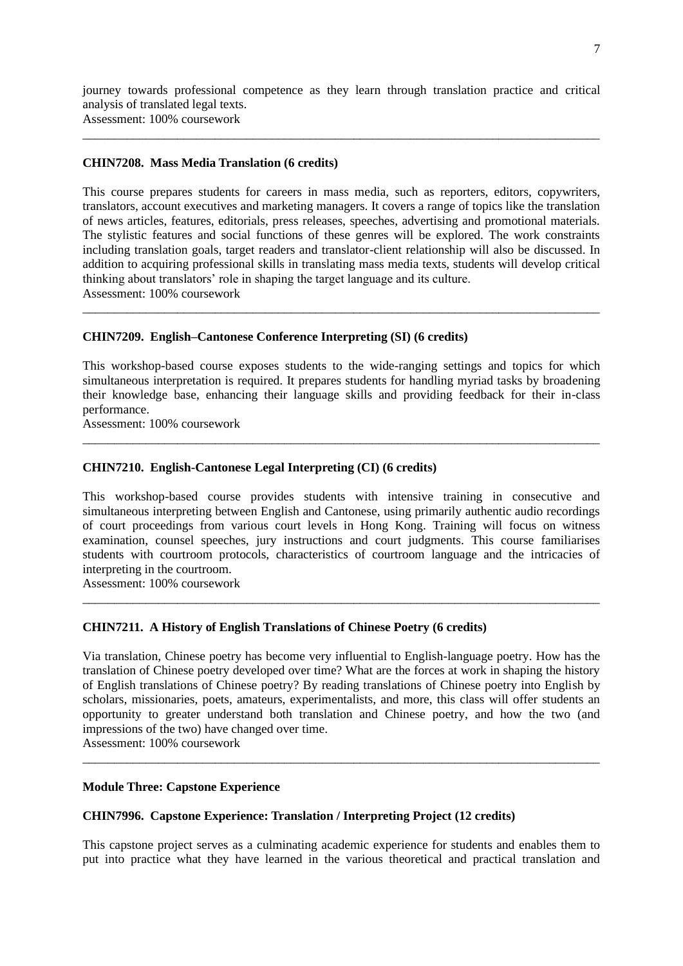journey towards professional competence as they learn through translation practice and critical analysis of translated legal texts.

\_\_\_\_\_\_\_\_\_\_\_\_\_\_\_\_\_\_\_\_\_\_\_\_\_\_\_\_\_\_\_\_\_\_\_\_\_\_\_\_\_\_\_\_\_\_\_\_\_\_\_\_\_\_\_\_\_\_\_\_\_\_\_\_\_\_\_\_\_\_\_\_\_\_\_\_\_\_\_\_\_\_

Assessment: 100% coursework

## **CHIN7208. Mass Media Translation (6 credits)**

This course prepares students for careers in mass media, such as reporters, editors, copywriters, translators, account executives and marketing managers. It covers a range of topics like the translation of news articles, features, editorials, press releases, speeches, advertising and promotional materials. The stylistic features and social functions of these genres will be explored. The work constraints including translation goals, target readers and translator-client relationship will also be discussed. In addition to acquiring professional skills in translating mass media texts, students will develop critical thinking about translators' role in shaping the target language and its culture. Assessment: 100% coursework

\_\_\_\_\_\_\_\_\_\_\_\_\_\_\_\_\_\_\_\_\_\_\_\_\_\_\_\_\_\_\_\_\_\_\_\_\_\_\_\_\_\_\_\_\_\_\_\_\_\_\_\_\_\_\_\_\_\_\_\_\_\_\_\_\_\_\_\_\_\_\_\_\_\_\_\_\_\_\_\_\_\_

# **CHIN7209. English–Cantonese Conference Interpreting (SI) (6 credits)**

This workshop-based course exposes students to the wide-ranging settings and topics for which simultaneous interpretation is required. It prepares students for handling myriad tasks by broadening their knowledge base, enhancing their language skills and providing feedback for their in-class performance.

\_\_\_\_\_\_\_\_\_\_\_\_\_\_\_\_\_\_\_\_\_\_\_\_\_\_\_\_\_\_\_\_\_\_\_\_\_\_\_\_\_\_\_\_\_\_\_\_\_\_\_\_\_\_\_\_\_\_\_\_\_\_\_\_\_\_\_\_\_\_\_\_\_\_\_\_\_\_\_\_\_\_

Assessment: 100% coursework

# **CHIN7210. English-Cantonese Legal Interpreting (CI) (6 credits)**

This workshop-based course provides students with intensive training in consecutive and simultaneous interpreting between English and Cantonese, using primarily authentic audio recordings of court proceedings from various court levels in Hong Kong. Training will focus on witness examination, counsel speeches, jury instructions and court judgments. This course familiarises students with courtroom protocols, characteristics of courtroom language and the intricacies of interpreting in the courtroom.

\_\_\_\_\_\_\_\_\_\_\_\_\_\_\_\_\_\_\_\_\_\_\_\_\_\_\_\_\_\_\_\_\_\_\_\_\_\_\_\_\_\_\_\_\_\_\_\_\_\_\_\_\_\_\_\_\_\_\_\_\_\_\_\_\_\_\_\_\_\_\_\_\_\_\_\_\_\_\_\_\_\_

Assessment: 100% coursework

# **CHIN7211. A History of English Translations of Chinese Poetry (6 credits)**

Via translation, Chinese poetry has become very influential to English-language poetry. How has the translation of Chinese poetry developed over time? What are the forces at work in shaping the history of English translations of Chinese poetry? By reading translations of Chinese poetry into English by scholars, missionaries, poets, amateurs, experimentalists, and more, this class will offer students an opportunity to greater understand both translation and Chinese poetry, and how the two (and impressions of the two) have changed over time.

\_\_\_\_\_\_\_\_\_\_\_\_\_\_\_\_\_\_\_\_\_\_\_\_\_\_\_\_\_\_\_\_\_\_\_\_\_\_\_\_\_\_\_\_\_\_\_\_\_\_\_\_\_\_\_\_\_\_\_\_\_\_\_\_\_\_\_\_\_\_\_\_\_\_\_\_\_\_\_\_\_\_

Assessment: 100% coursework

## **Module Three: Capstone Experience**

# **CHIN7996. Capstone Experience: Translation / Interpreting Project (12 credits)**

This capstone project serves as a culminating academic experience for students and enables them to put into practice what they have learned in the various theoretical and practical translation and